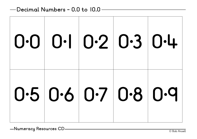|  |  | 0000020304          |
|--|--|---------------------|
|  |  | 0.5 0.6 0.7 0.8 0.9 |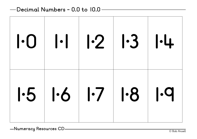| 10 11 2 13 14                 |  |  |
|-------------------------------|--|--|
| $1.5$ $1.6$ $1.7$ $1.8$ $1.9$ |  |  |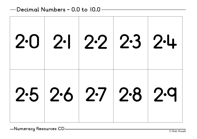|                      |  | $20$ 2.1 $22$ $23$ $24$ |
|----------------------|--|-------------------------|
| $25$ 2.6 2.7 2.8 2.9 |  |                         |

© Bob Ansell **Numeracy Resources CD**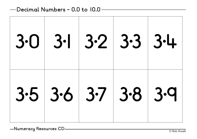| 30 31 32 333                  |  |  |
|-------------------------------|--|--|
| $3.5$ $3.6$ $3.7$ $3.8$ $3.9$ |  |  |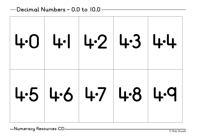| $404 - 142 + 34$      |  |  |
|-----------------------|--|--|
| $4.5$ 4.6 4.7 4.8 4.9 |  |  |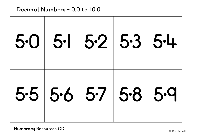| 50 51 52 53 54                |  |  |
|-------------------------------|--|--|
| $5.5$ $5.6$ $5.7$ $5.8$ $5.9$ |  |  |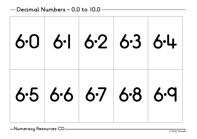| 60 61 62 63 64 |  |  |
|----------------|--|--|
| 6566676869     |  |  |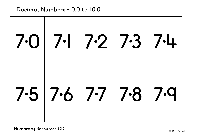| $70$ 7.1 7.2 7.3 7.4  |  |  |
|-----------------------|--|--|
| $7.5$ 7.6 7.7 7.8 7.9 |  |  |

© Bob Ansell **Numeracy Resources CD**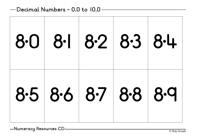| 80 81 82 83 84      |  |  |
|---------------------|--|--|
| 8.5 8.6 8.7 8.8 8.9 |  |  |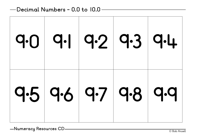|  | 9.0 9.1 9.2 9.3 9.4 |                     |
|--|---------------------|---------------------|
|  |                     | 9.5 9.6 9.7 9.8 9.9 |